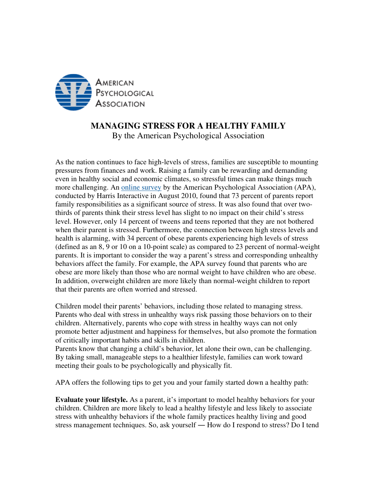

## **MANAGING STRESS FOR A HEALTHY FAMILY**

By the American Psychological Association

As the nation continues to face high-levels of stress, families are susceptible to mounting pressures from finances and work. Raising a family can be rewarding and demanding even in healthy social and economic climates, so stressful times can make things much more challenging. An online survey by the American Psychological Association (APA), conducted by Harris Interactive in August 2010, found that 73 percent of parents report family responsibilities as a significant source of stress. It was also found that over twothirds of parents think their stress level has slight to no impact on their child's stress level. However, only 14 percent of tweens and teens reported that they are not bothered when their parent is stressed. Furthermore, the connection between high stress levels and health is alarming, with 34 percent of obese parents experiencing high levels of stress (defined as an 8, 9 or 10 on a 10-point scale) as compared to 23 percent of normal-weight parents. It is important to consider the way a parent's stress and corresponding unhealthy behaviors affect the family. For example, the APA survey found that parents who are obese are more likely than those who are normal weight to have children who are obese. In addition, overweight children are more likely than normal-weight children to report that their parents are often worried and stressed.

Children model their parents' behaviors, including those related to managing stress. Parents who deal with stress in unhealthy ways risk passing those behaviors on to their children. Alternatively, parents who cope with stress in healthy ways can not only promote better adjustment and happiness for themselves, but also promote the formation of critically important habits and skills in children.

Parents know that changing a child's behavior, let alone their own, can be challenging. By taking small, manageable steps to a healthier lifestyle, families can work toward meeting their goals to be psychologically and physically fit.

APA offers the following tips to get you and your family started down a healthy path:

**Evaluate your lifestyle.** As a parent, it's important to model healthy behaviors for your children. Children are more likely to lead a healthy lifestyle and less likely to associate stress with unhealthy behaviors if the whole family practices healthy living and good stress management techniques. So, ask yourself ― How do I respond to stress? Do I tend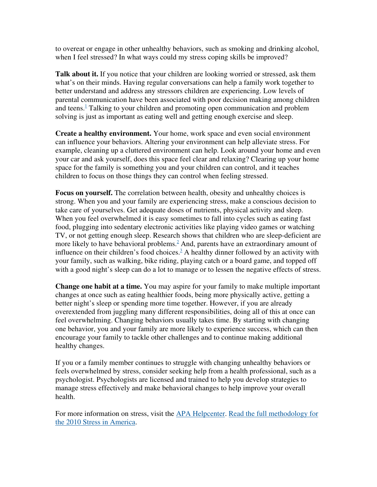to overeat or engage in other unhealthy behaviors, such as smoking and drinking alcohol, when I feel stressed? In what ways could my stress coping skills be improved?

**Talk about it.** If you notice that your children are looking worried or stressed, ask them what's on their minds. Having regular conversations can help a family work together to better understand and address any stressors children are experiencing. Low levels of parental communication have been associated with poor decision making among children and teens.<sup>1</sup> Talking to your children and promoting open communication and problem solving is just as important as eating well and getting enough exercise and sleep.

**Create a healthy environment.** Your home, work space and even social environment can influence your behaviors. Altering your environment can help alleviate stress. For example, cleaning up a cluttered environment can help. Look around your home and even your car and ask yourself, does this space feel clear and relaxing? Clearing up your home space for the family is something you and your children can control, and it teaches children to focus on those things they can control when feeling stressed.

**Focus on yourself.** The correlation between health, obesity and unhealthy choices is strong. When you and your family are experiencing stress, make a conscious decision to take care of yourselves. Get adequate doses of nutrients, physical activity and sleep. When you feel overwhelmed it is easy sometimes to fall into cycles such as eating fast food, plugging into sedentary electronic activities like playing video games or watching TV, or not getting enough sleep. Research shows that children who are sleep-deficient are more likely to have behavioral problems. $<sup>2</sup>$  And, parents have an extraordinary amount of</sup> influence on their children's food choices.<sup>3</sup> A healthy dinner followed by an activity with your family, such as walking, bike riding, playing catch or a board game, and topped off with a good night's sleep can do a lot to manage or to lessen the negative effects of stress.

**Change one habit at a time.** You may aspire for your family to make multiple important changes at once such as eating healthier foods, being more physically active, getting a better night's sleep or spending more time together. However, if you are already overextended from juggling many different responsibilities, doing all of this at once can feel overwhelming. Changing behaviors usually takes time. By starting with changing one behavior, you and your family are more likely to experience success, which can then encourage your family to tackle other challenges and to continue making additional healthy changes.

If you or a family member continues to struggle with changing unhealthy behaviors or feels overwhelmed by stress, consider seeking help from a health professional, such as a psychologist. Psychologists are licensed and trained to help you develop strategies to manage stress effectively and make behavioral changes to help improve your overall health.

For more information on stress, visit the APA Helpcenter. Read the full methodology for the 2010 Stress in America.